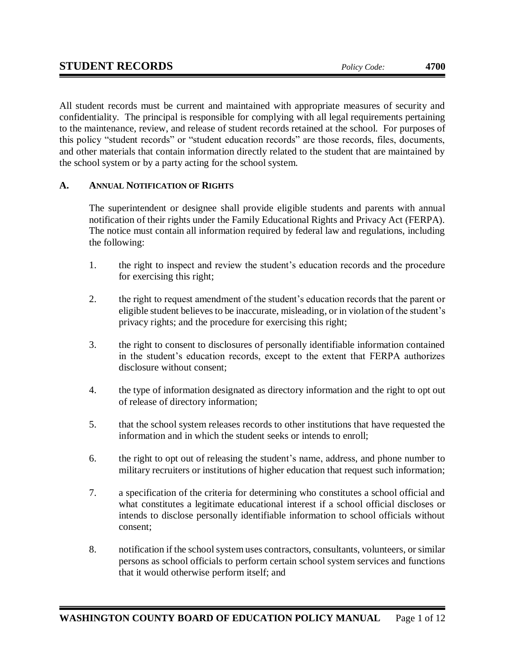All student records must be current and maintained with appropriate measures of security and confidentiality. The principal is responsible for complying with all legal requirements pertaining to the maintenance, review, and release of student records retained at the school. For purposes of this policy "student records" or "student education records" are those records, files, documents, and other materials that contain information directly related to the student that are maintained by the school system or by a party acting for the school system.

# **A. ANNUAL NOTIFICATION OF RIGHTS**

The superintendent or designee shall provide eligible students and parents with annual notification of their rights under the Family Educational Rights and Privacy Act (FERPA). The notice must contain all information required by federal law and regulations, including the following:

- 1. the right to inspect and review the student's education records and the procedure for exercising this right;
- 2. the right to request amendment of the student's education records that the parent or eligible student believes to be inaccurate, misleading, or in violation of the student's privacy rights; and the procedure for exercising this right;
- 3. the right to consent to disclosures of personally identifiable information contained in the student's education records, except to the extent that FERPA authorizes disclosure without consent;
- 4. the type of information designated as directory information and the right to opt out of release of directory information;
- 5. that the school system releases records to other institutions that have requested the information and in which the student seeks or intends to enroll;
- 6. the right to opt out of releasing the student's name, address, and phone number to military recruiters or institutions of higher education that request such information;
- 7. a specification of the criteria for determining who constitutes a school official and what constitutes a legitimate educational interest if a school official discloses or intends to disclose personally identifiable information to school officials without consent;
- 8. notification if the school system uses contractors, consultants, volunteers, or similar persons as school officials to perform certain school system services and functions that it would otherwise perform itself; and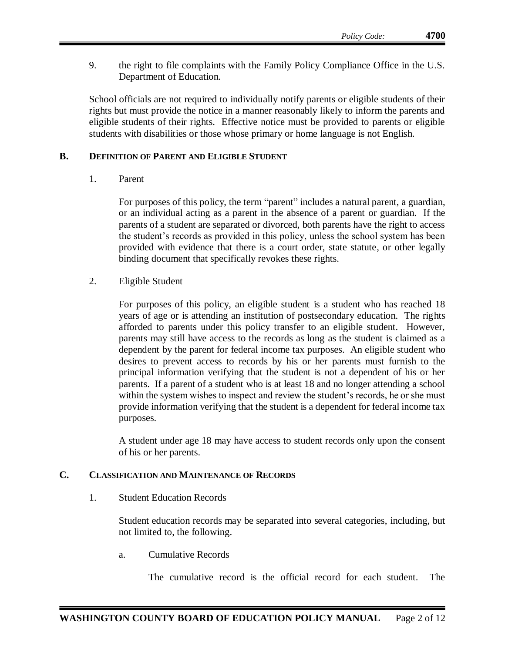9. the right to file complaints with the Family Policy Compliance Office in the U.S. Department of Education.

School officials are not required to individually notify parents or eligible students of their rights but must provide the notice in a manner reasonably likely to inform the parents and eligible students of their rights. Effective notice must be provided to parents or eligible students with disabilities or those whose primary or home language is not English.

### **B. DEFINITION OF PARENT AND ELIGIBLE STUDENT**

1. Parent

For purposes of this policy, the term "parent" includes a natural parent, a guardian, or an individual acting as a parent in the absence of a parent or guardian. If the parents of a student are separated or divorced, both parents have the right to access the student's records as provided in this policy, unless the school system has been provided with evidence that there is a court order, state statute, or other legally binding document that specifically revokes these rights.

2. Eligible Student

For purposes of this policy, an eligible student is a student who has reached 18 years of age or is attending an institution of postsecondary education. The rights afforded to parents under this policy transfer to an eligible student. However, parents may still have access to the records as long as the student is claimed as a dependent by the parent for federal income tax purposes. An eligible student who desires to prevent access to records by his or her parents must furnish to the principal information verifying that the student is not a dependent of his or her parents. If a parent of a student who is at least 18 and no longer attending a school within the system wishes to inspect and review the student's records, he or she must provide information verifying that the student is a dependent for federal income tax purposes.

A student under age 18 may have access to student records only upon the consent of his or her parents.

### **C. CLASSIFICATION AND MAINTENANCE OF RECORDS**

1. Student Education Records

Student education records may be separated into several categories, including, but not limited to, the following.

a. Cumulative Records

The cumulative record is the official record for each student. The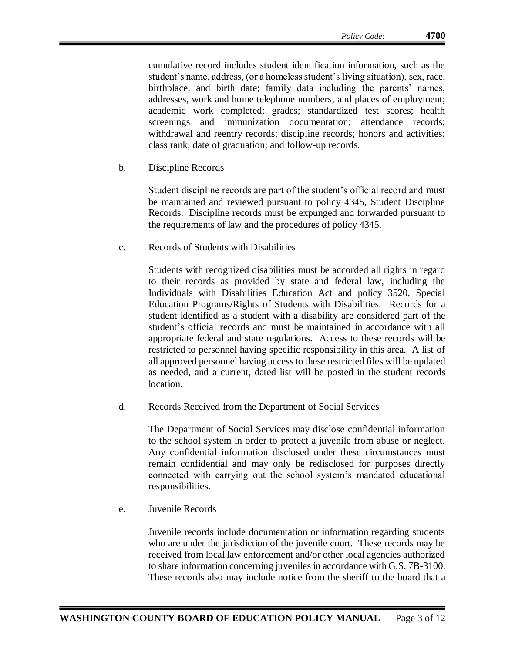cumulative record includes student identification information, such as the student's name, address, (or a homeless student's living situation), sex, race, birthplace, and birth date; family data including the parents' names, addresses, work and home telephone numbers, and places of employment; academic work completed; grades; standardized test scores; health screenings and immunization documentation; attendance records; withdrawal and reentry records; discipline records; honors and activities; class rank; date of graduation; and follow-up records.

b. Discipline Records

Student discipline records are part of the student's official record and must be maintained and reviewed pursuant to policy 4345, Student Discipline Records. Discipline records must be expunged and forwarded pursuant to the requirements of law and the procedures of policy 4345.

c. Records of Students with Disabilities

Students with recognized disabilities must be accorded all rights in regard to their records as provided by state and federal law, including the Individuals with Disabilities Education Act and policy 3520, Special Education Programs/Rights of Students with Disabilities. Records for a student identified as a student with a disability are considered part of the student's official records and must be maintained in accordance with all appropriate federal and state regulations. Access to these records will be restricted to personnel having specific responsibility in this area. A list of all approved personnel having access to these restricted files will be updated as needed, and a current, dated list will be posted in the student records location.

d. Records Received from the Department of Social Services

The Department of Social Services may disclose confidential information to the school system in order to protect a juvenile from abuse or neglect. Any confidential information disclosed under these circumstances must remain confidential and may only be redisclosed for purposes directly connected with carrying out the school system's mandated educational responsibilities.

e. Juvenile Records

Juvenile records include documentation or information regarding students who are under the jurisdiction of the juvenile court. These records may be received from local law enforcement and/or other local agencies authorized to share information concerning juveniles in accordance with G.S. 7B-3100. These records also may include notice from the sheriff to the board that a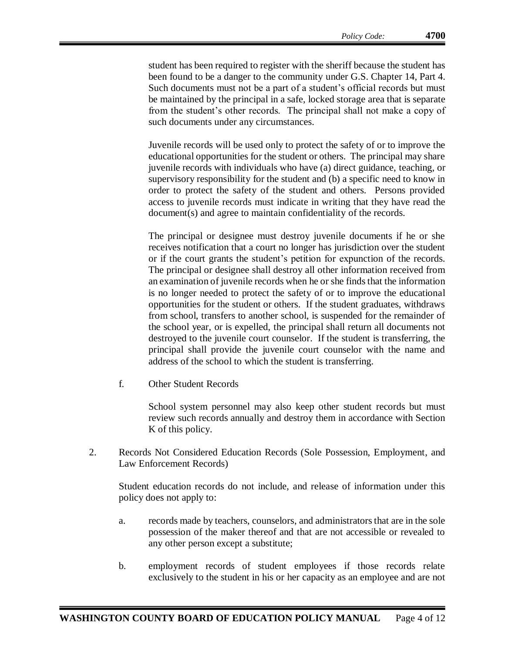student has been required to register with the sheriff because the student has been found to be a danger to the community under G.S. Chapter 14, Part 4. Such documents must not be a part of a student's official records but must be maintained by the principal in a safe, locked storage area that is separate from the student's other records. The principal shall not make a copy of such documents under any circumstances.

Juvenile records will be used only to protect the safety of or to improve the educational opportunities for the student or others. The principal may share juvenile records with individuals who have (a) direct guidance, teaching, or supervisory responsibility for the student and (b) a specific need to know in order to protect the safety of the student and others. Persons provided access to juvenile records must indicate in writing that they have read the document(s) and agree to maintain confidentiality of the records.

The principal or designee must destroy juvenile documents if he or she receives notification that a court no longer has jurisdiction over the student or if the court grants the student's petition for expunction of the records. The principal or designee shall destroy all other information received from an examination of juvenile records when he or she finds that the information is no longer needed to protect the safety of or to improve the educational opportunities for the student or others. If the student graduates, withdraws from school, transfers to another school, is suspended for the remainder of the school year, or is expelled, the principal shall return all documents not destroyed to the juvenile court counselor. If the student is transferring, the principal shall provide the juvenile court counselor with the name and address of the school to which the student is transferring.

f. Other Student Records

School system personnel may also keep other student records but must review such records annually and destroy them in accordance with Section K of this policy.

2. Records Not Considered Education Records (Sole Possession, Employment, and Law Enforcement Records)

Student education records do not include, and release of information under this policy does not apply to:

- a. records made by teachers, counselors, and administrators that are in the sole possession of the maker thereof and that are not accessible or revealed to any other person except a substitute;
- b. employment records of student employees if those records relate exclusively to the student in his or her capacity as an employee and are not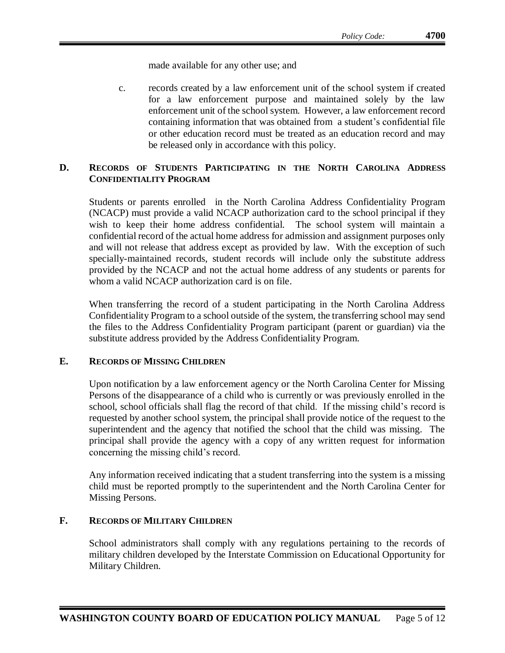made available for any other use; and

c. records created by a law enforcement unit of the school system if created for a law enforcement purpose and maintained solely by the law enforcement unit of the school system. However, a law enforcement record containing information that was obtained from a student's confidential file or other education record must be treated as an education record and may be released only in accordance with this policy.

# **D. RECORDS OF STUDENTS PARTICIPATING IN THE NORTH CAROLINA ADDRESS CONFIDENTIALITY PROGRAM**

Students or parents enrolled in the North Carolina Address Confidentiality Program (NCACP) must provide a valid NCACP authorization card to the school principal if they wish to keep their home address confidential. The school system will maintain a confidential record of the actual home address for admission and assignment purposes only and will not release that address except as provided by law. With the exception of such specially-maintained records, student records will include only the substitute address provided by the NCACP and not the actual home address of any students or parents for whom a valid NCACP authorization card is on file.

When transferring the record of a student participating in the North Carolina Address Confidentiality Program to a school outside of the system, the transferring school may send the files to the Address Confidentiality Program participant (parent or guardian) via the substitute address provided by the Address Confidentiality Program.

### **E. RECORDS OF MISSING CHILDREN**

Upon notification by a law enforcement agency or the North Carolina Center for Missing Persons of the disappearance of a child who is currently or was previously enrolled in the school, school officials shall flag the record of that child. If the missing child's record is requested by another school system, the principal shall provide notice of the request to the superintendent and the agency that notified the school that the child was missing. The principal shall provide the agency with a copy of any written request for information concerning the missing child's record.

Any information received indicating that a student transferring into the system is a missing child must be reported promptly to the superintendent and the North Carolina Center for Missing Persons.

### **F. RECORDS OF MILITARY CHILDREN**

School administrators shall comply with any regulations pertaining to the records of military children developed by the Interstate Commission on Educational Opportunity for Military Children.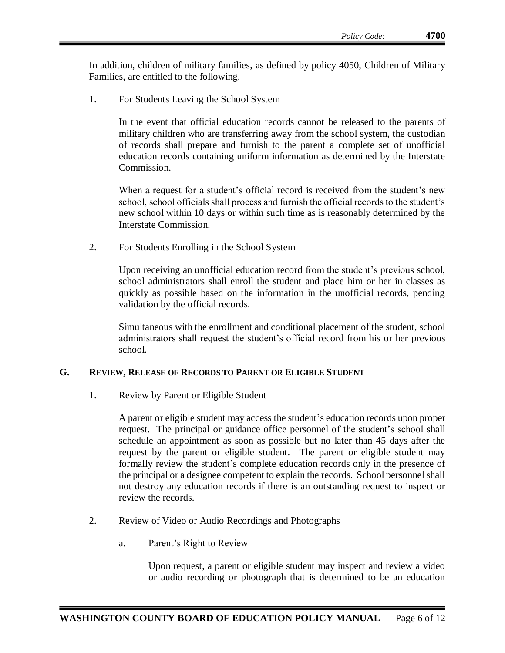In addition, children of military families, as defined by policy 4050, Children of Military Families, are entitled to the following.

1. For Students Leaving the School System

In the event that official education records cannot be released to the parents of military children who are transferring away from the school system, the custodian of records shall prepare and furnish to the parent a complete set of unofficial education records containing uniform information as determined by the Interstate Commission.

When a request for a student's official record is received from the student's new school, school officials shall process and furnish the official records to the student's new school within 10 days or within such time as is reasonably determined by the Interstate Commission.

2. For Students Enrolling in the School System

Upon receiving an unofficial education record from the student's previous school, school administrators shall enroll the student and place him or her in classes as quickly as possible based on the information in the unofficial records, pending validation by the official records.

Simultaneous with the enrollment and conditional placement of the student, school administrators shall request the student's official record from his or her previous school.

### **G. REVIEW, RELEASE OF RECORDS TO PARENT OR ELIGIBLE STUDENT**

1. Review by Parent or Eligible Student

A parent or eligible student may access the student's education records upon proper request. The principal or guidance office personnel of the student's school shall schedule an appointment as soon as possible but no later than 45 days after the request by the parent or eligible student. The parent or eligible student may formally review the student's complete education records only in the presence of the principal or a designee competent to explain the records. School personnel shall not destroy any education records if there is an outstanding request to inspect or review the records.

- 2. Review of Video or Audio Recordings and Photographs
	- a. Parent's Right to Review

Upon request, a parent or eligible student may inspect and review a video or audio recording or photograph that is determined to be an education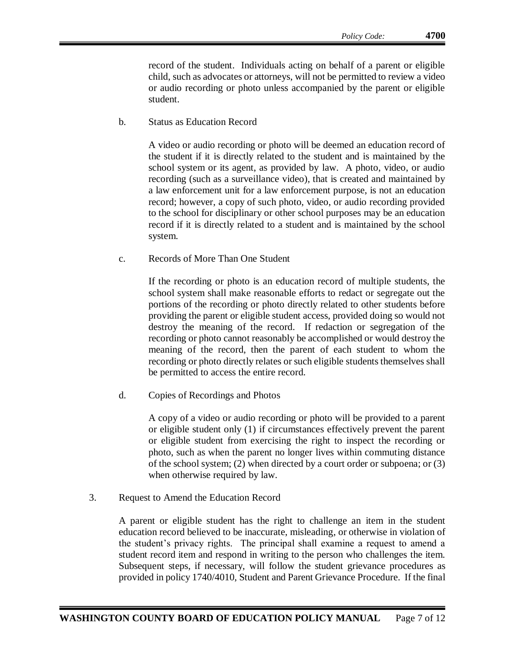record of the student. Individuals acting on behalf of a parent or eligible child, such as advocates or attorneys, will not be permitted to review a video or audio recording or photo unless accompanied by the parent or eligible student.

b. Status as Education Record

A video or audio recording or photo will be deemed an education record of the student if it is directly related to the student and is maintained by the school system or its agent, as provided by law. A photo, video, or audio recording (such as a surveillance video), that is created and maintained by a law enforcement unit for a law enforcement purpose, is not an education record; however, a copy of such photo, video, or audio recording provided to the school for disciplinary or other school purposes may be an education record if it is directly related to a student and is maintained by the school system.

c. Records of More Than One Student

If the recording or photo is an education record of multiple students, the school system shall make reasonable efforts to redact or segregate out the portions of the recording or photo directly related to other students before providing the parent or eligible student access, provided doing so would not destroy the meaning of the record. If redaction or segregation of the recording or photo cannot reasonably be accomplished or would destroy the meaning of the record, then the parent of each student to whom the recording or photo directly relates or such eligible students themselves shall be permitted to access the entire record.

d. Copies of Recordings and Photos

A copy of a video or audio recording or photo will be provided to a parent or eligible student only (1) if circumstances effectively prevent the parent or eligible student from exercising the right to inspect the recording or photo, such as when the parent no longer lives within commuting distance of the school system; (2) when directed by a court order or subpoena; or (3) when otherwise required by law.

3. Request to Amend the Education Record

A parent or eligible student has the right to challenge an item in the student education record believed to be inaccurate, misleading, or otherwise in violation of the student's privacy rights. The principal shall examine a request to amend a student record item and respond in writing to the person who challenges the item. Subsequent steps, if necessary, will follow the student grievance procedures as provided in policy 1740/4010, Student and Parent Grievance Procedure. If the final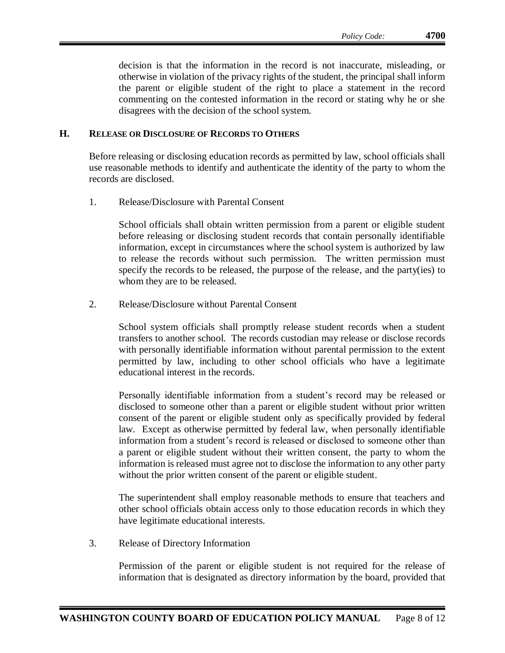decision is that the information in the record is not inaccurate, misleading, or otherwise in violation of the privacy rights of the student, the principal shall inform the parent or eligible student of the right to place a statement in the record commenting on the contested information in the record or stating why he or she disagrees with the decision of the school system.

#### **H. RELEASE OR DISCLOSURE OF RECORDS TO OTHERS**

Before releasing or disclosing education records as permitted by law, school officials shall use reasonable methods to identify and authenticate the identity of the party to whom the records are disclosed.

1. Release/Disclosure with Parental Consent

School officials shall obtain written permission from a parent or eligible student before releasing or disclosing student records that contain personally identifiable information, except in circumstances where the school system is authorized by law to release the records without such permission. The written permission must specify the records to be released, the purpose of the release, and the party(ies) to whom they are to be released.

2. Release/Disclosure without Parental Consent

School system officials shall promptly release student records when a student transfers to another school. The records custodian may release or disclose records with personally identifiable information without parental permission to the extent permitted by law, including to other school officials who have a legitimate educational interest in the records.

Personally identifiable information from a student's record may be released or disclosed to someone other than a parent or eligible student without prior written consent of the parent or eligible student only as specifically provided by federal law. Except as otherwise permitted by federal law, when personally identifiable information from a student's record is released or disclosed to someone other than a parent or eligible student without their written consent, the party to whom the information is released must agree not to disclose the information to any other party without the prior written consent of the parent or eligible student.

The superintendent shall employ reasonable methods to ensure that teachers and other school officials obtain access only to those education records in which they have legitimate educational interests.

3. Release of Directory Information

Permission of the parent or eligible student is not required for the release of information that is designated as directory information by the board, provided that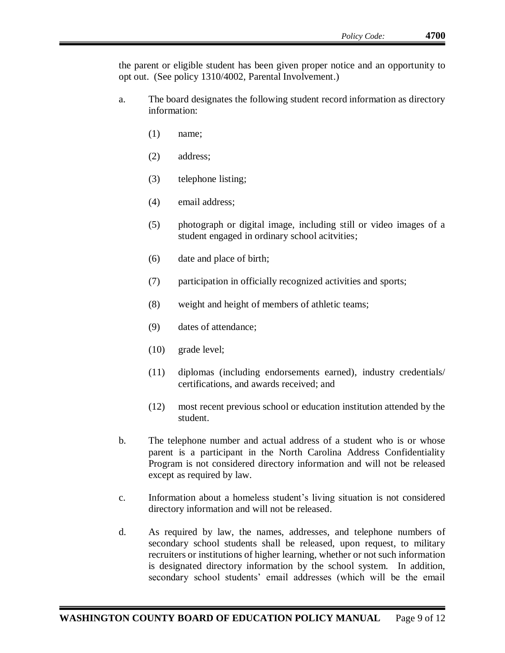the parent or eligible student has been given proper notice and an opportunity to opt out. (See policy 1310/4002, Parental Involvement.)

- a. The board designates the following student record information as directory information:
	- (1) name;
	- (2) address;
	- (3) telephone listing;
	- (4) email address;
	- (5) photograph or digital image, including still or video images of a student engaged in ordinary school acitvities;
	- (6) date and place of birth;
	- (7) participation in officially recognized activities and sports;
	- (8) weight and height of members of athletic teams;
	- (9) dates of attendance;
	- (10) grade level;
	- (11) diplomas (including endorsements earned), industry credentials/ certifications, and awards received; and
	- (12) most recent previous school or education institution attended by the student.
- b. The telephone number and actual address of a student who is or whose parent is a participant in the North Carolina Address Confidentiality Program is not considered directory information and will not be released except as required by law.
- c. Information about a homeless student's living situation is not considered directory information and will not be released.
- d. As required by law, the names, addresses, and telephone numbers of secondary school students shall be released, upon request, to military recruiters or institutions of higher learning, whether or not such information is designated directory information by the school system. In addition, secondary school students' email addresses (which will be the email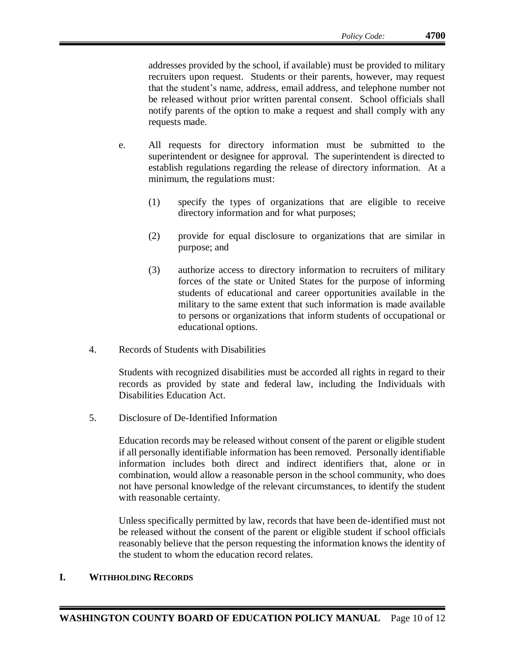addresses provided by the school, if available) must be provided to military recruiters upon request. Students or their parents, however, may request that the student's name, address, email address, and telephone number not be released without prior written parental consent. School officials shall notify parents of the option to make a request and shall comply with any requests made.

- e. All requests for directory information must be submitted to the superintendent or designee for approval. The superintendent is directed to establish regulations regarding the release of directory information. At a minimum, the regulations must:
	- (1) specify the types of organizations that are eligible to receive directory information and for what purposes;
	- (2) provide for equal disclosure to organizations that are similar in purpose; and
	- (3) authorize access to directory information to recruiters of military forces of the state or United States for the purpose of informing students of educational and career opportunities available in the military to the same extent that such information is made available to persons or organizations that inform students of occupational or educational options.
- 4. Records of Students with Disabilities

Students with recognized disabilities must be accorded all rights in regard to their records as provided by state and federal law, including the Individuals with Disabilities Education Act.

5. Disclosure of De-Identified Information

Education records may be released without consent of the parent or eligible student if all personally identifiable information has been removed. Personally identifiable information includes both direct and indirect identifiers that, alone or in combination, would allow a reasonable person in the school community, who does not have personal knowledge of the relevant circumstances, to identify the student with reasonable certainty.

Unless specifically permitted by law, records that have been de-identified must not be released without the consent of the parent or eligible student if school officials reasonably believe that the person requesting the information knows the identity of the student to whom the education record relates.

### **I. WITHHOLDING RECORDS**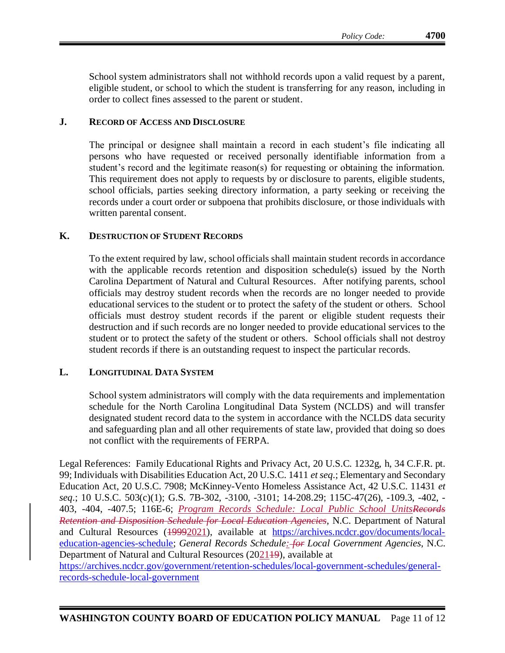# **J. RECORD OF ACCESS AND DISCLOSURE**

The principal or designee shall maintain a record in each student's file indicating all persons who have requested or received personally identifiable information from a student's record and the legitimate reason(s) for requesting or obtaining the information. This requirement does not apply to requests by or disclosure to parents, eligible students, school officials, parties seeking directory information, a party seeking or receiving the records under a court order or subpoena that prohibits disclosure, or those individuals with written parental consent.

#### **K. DESTRUCTION OF STUDENT RECORDS**

To the extent required by law, school officials shall maintain student records in accordance with the applicable records retention and disposition schedule(s) issued by the North Carolina Department of Natural and Cultural Resources. After notifying parents, school officials may destroy student records when the records are no longer needed to provide educational services to the student or to protect the safety of the student or others. School officials must destroy student records if the parent or eligible student requests their destruction and if such records are no longer needed to provide educational services to the student or to protect the safety of the student or others. School officials shall not destroy student records if there is an outstanding request to inspect the particular records.

### **L. LONGITUDINAL DATA SYSTEM**

School system administrators will comply with the data requirements and implementation schedule for the North Carolina Longitudinal Data System (NCLDS) and will transfer designated student record data to the system in accordance with the NCLDS data security and safeguarding plan and all other requirements of state law, provided that doing so does not conflict with the requirements of FERPA.

Legal References: Family Educational Rights and Privacy Act, 20 U.S.C. 1232g, h, 34 C.F.R. pt. 99; Individuals with Disabilities Education Act, 20 U.S.C. 1411 *et seq*.; Elementary and Secondary Education Act, 20 U.S.C. 7908; McKinney-Vento Homeless Assistance Act, 42 U.S.C. 11431 *et seq*.; 10 U.S.C. 503(c)(1); G.S. 7B-302, -3100, -3101; 14-208.29; 115C-47(26), -109.3, -402, - 403, -404, -407.5; 116E-6; *Program Records Schedule: Local Public School UnitsRecords Retention and Disposition Schedule for Local Education Agencies*, N.C. Department of Natural and Cultural Resources (19992021), available at [https://archives.ncdcr.gov/documents/local](https://archives.ncdcr.gov/documents/local-education-agencies-schedule)[education-agencies-schedule;](https://archives.ncdcr.gov/documents/local-education-agencies-schedule) *General Records Schedule: for Local Government Agencies*, N.C. Department of Natural and Cultural Resources (2021<del>19</del>), available at

[https://archives.ncdcr.gov/government/retention-schedules/local-government-schedules/general](https://archives.ncdcr.gov/government/retention-schedules/local-government-schedules/general-records-schedule-local-government)[records-schedule-local-government](https://archives.ncdcr.gov/government/retention-schedules/local-government-schedules/general-records-schedule-local-government)